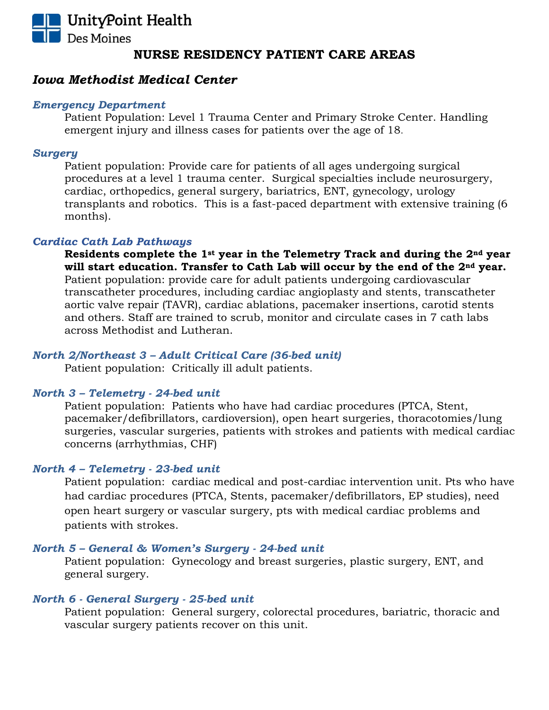

# *Iowa Methodist Medical Center*

### *Emergency Department*

Patient Population: Level 1 Trauma Center and Primary Stroke Center. Handling emergent injury and illness cases for patients over the age of 18.

## *Surgery*

Patient population: Provide care for patients of all ages undergoing surgical procedures at a level 1 trauma center. Surgical specialties include neurosurgery, cardiac, orthopedics, general surgery, bariatrics, ENT, gynecology, urology transplants and robotics. This is a fast-paced department with extensive training (6 months).

# *Cardiac Cath Lab Pathways*

**Residents complete the 1st year in the Telemetry Track and during the 2nd year will start education. Transfer to Cath Lab will occur by the end of the 2nd year.** Patient population: provide care for adult patients undergoing cardiovascular transcatheter procedures, including cardiac angioplasty and stents, transcatheter aortic valve repair (TAVR), cardiac ablations, pacemaker insertions, carotid stents and others. Staff are trained to scrub, monitor and circulate cases in 7 cath labs across Methodist and Lutheran.

# *North 2/Northeast 3 – Adult Critical Care (36-bed unit)*

Patient population: Critically ill adult patients.

# *North 3 – Telemetry - 24-bed unit*

Patient population: Patients who have had cardiac procedures (PTCA, Stent, pacemaker/defibrillators, cardioversion), open heart surgeries, thoracotomies/lung surgeries, vascular surgeries, patients with strokes and patients with medical cardiac concerns (arrhythmias, CHF)

# *North 4 – Telemetry - 23-bed unit*

Patient population: cardiac medical and post-cardiac intervention unit. Pts who have had cardiac procedures (PTCA, Stents, pacemaker/defibrillators, EP studies), need open heart surgery or vascular surgery, pts with medical cardiac problems and patients with strokes.

# *North 5 – General & Women's Surgery - 24-bed unit*

Patient population: Gynecology and breast surgeries, plastic surgery, ENT, and general surgery.

#### *North 6 - General Surgery - 25-bed unit*

Patient population: General surgery, colorectal procedures, bariatric, thoracic and vascular surgery patients recover on this unit.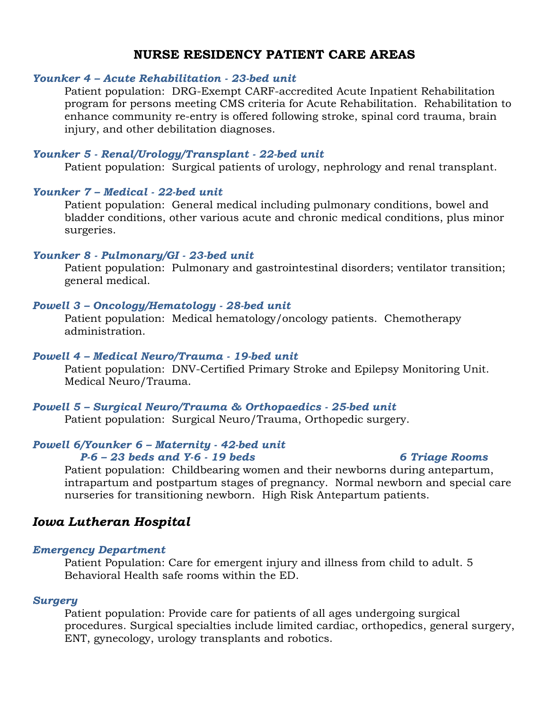# *Younker 4 – Acute Rehabilitation - 23-bed unit*

Patient population: DRG-Exempt CARF-accredited Acute Inpatient Rehabilitation program for persons meeting CMS criteria for Acute Rehabilitation. Rehabilitation to enhance community re-entry is offered following stroke, spinal cord trauma, brain injury, and other debilitation diagnoses.

## *Younker 5 - Renal/Urology/Transplant - 22-bed unit*

Patient population: Surgical patients of urology, nephrology and renal transplant.

# *Younker 7 – Medical - 22-bed unit*

Patient population: General medical including pulmonary conditions, bowel and bladder conditions, other various acute and chronic medical conditions, plus minor surgeries.

### *Younker 8 - Pulmonary/GI - 23-bed unit*

Patient population: Pulmonary and gastrointestinal disorders; ventilator transition; general medical.

### *Powell 3 – Oncology/Hematology - 28-bed unit*

Patient population: Medical hematology/oncology patients. Chemotherapy administration.

## *Powell 4 – Medical Neuro/Trauma - 19-bed unit*

Patient population: DNV-Certified Primary Stroke and Epilepsy Monitoring Unit. Medical Neuro/Trauma.

#### *Powell 5 – Surgical Neuro/Trauma & Orthopaedics - 25-bed unit*

Patient population: Surgical Neuro/Trauma, Orthopedic surgery.

#### *Powell 6/Younker 6 – Maternity - 42-bed unit*

# *P-6 – 23 beds and Y-6 - 19 beds 6 Triage Rooms*

# Patient population: Childbearing women and their newborns during antepartum, intrapartum and postpartum stages of pregnancy. Normal newborn and special care nurseries for transitioning newborn. High Risk Antepartum patients.

# *Iowa Lutheran Hospital*

#### *Emergency Department*

Patient Population: Care for emergent injury and illness from child to adult. 5 Behavioral Health safe rooms within the ED.

#### *Surgery*

Patient population: Provide care for patients of all ages undergoing surgical procedures. Surgical specialties include limited cardiac, orthopedics, general surgery, ENT, gynecology, urology transplants and robotics.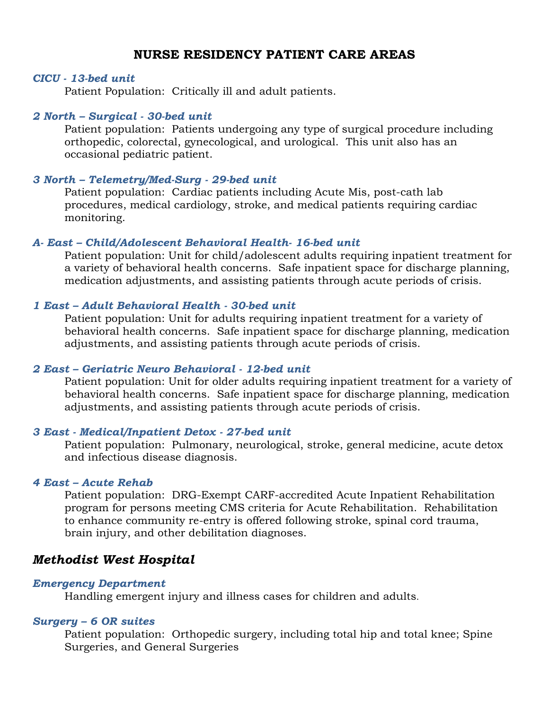#### *CICU - 13-bed unit*

Patient Population: Critically ill and adult patients.

#### *2 North – Surgical - 30-bed unit*

Patient population: Patients undergoing any type of surgical procedure including orthopedic, colorectal, gynecological, and urological. This unit also has an occasional pediatric patient.

#### *3 North – Telemetry/Med-Surg - 29-bed unit*

Patient population: Cardiac patients including Acute Mis, post-cath lab procedures, medical cardiology, stroke, and medical patients requiring cardiac monitoring.

# *A- East – Child/Adolescent Behavioral Health- 16-bed unit*

Patient population: Unit for child/adolescent adults requiring inpatient treatment for a variety of behavioral health concerns. Safe inpatient space for discharge planning, medication adjustments, and assisting patients through acute periods of crisis.

# *1 East – Adult Behavioral Health - 30-bed unit*

Patient population: Unit for adults requiring inpatient treatment for a variety of behavioral health concerns. Safe inpatient space for discharge planning, medication adjustments, and assisting patients through acute periods of crisis.

# *2 East – Geriatric Neuro Behavioral - 12-bed unit*

Patient population: Unit for older adults requiring inpatient treatment for a variety of behavioral health concerns. Safe inpatient space for discharge planning, medication adjustments, and assisting patients through acute periods of crisis.

#### *3 East - Medical/Inpatient Detox - 27-bed unit*

Patient population: Pulmonary, neurological, stroke, general medicine, acute detox and infectious disease diagnosis.

# *4 East – Acute Rehab*

Patient population: DRG-Exempt CARF-accredited Acute Inpatient Rehabilitation program for persons meeting CMS criteria for Acute Rehabilitation. Rehabilitation to enhance community re-entry is offered following stroke, spinal cord trauma, brain injury, and other debilitation diagnoses.

# *Methodist West Hospital*

#### *Emergency Department*

Handling emergent injury and illness cases for children and adults.

#### *Surgery – 6 OR suites*

Patient population: Orthopedic surgery, including total hip and total knee; Spine Surgeries, and General Surgeries